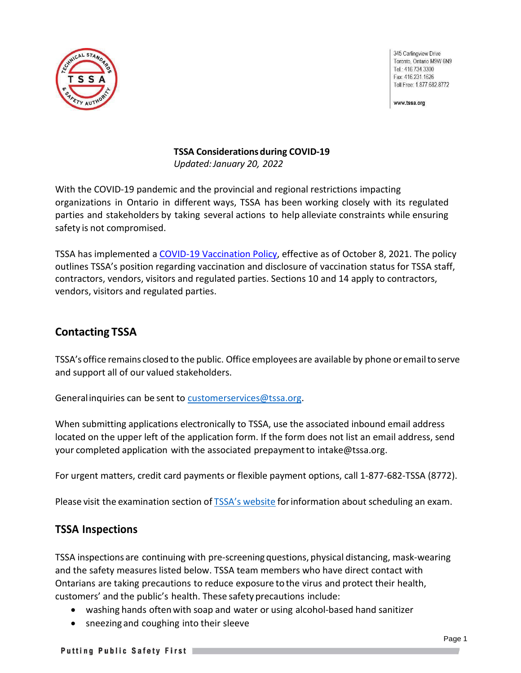

345 Carlingview Drive Toronto, Ontario M9W 6N9 Tel.: 416.734.3300 Fax: 416.231.1626 Toll Free: 1.877.682.8772

www.tssa.org

### **TSSA Considerationsduring COVID-19** *Updated:January 20, 2022*

With the COVID-19 pandemic and the provincial and regional restrictions impacting organizations in Ontario in different ways, TSSA has been working closely with its regulated parties and stakeholders by taking several actions to help alleviate constraints while ensuring safety is not compromised.

TSSA has implemented a [COVID-19 Vaccination Policy,](https://www.tssa.org/en/about-tssa/resources/TSSA-Vaccination-Policy---October-2021-v2.0.pdf) effective as of October 8, 2021. The policy outlines TSSA's position regarding vaccination and disclosure of vaccination status for TSSA staff, contractors, vendors, visitors and regulated parties. Sections 10 and 14 apply to contractors, vendors, visitors and regulated parties.

# **Contacting TSSA**

TSSA'soffice remains closed to the public. Office employees are available by phone oremailto serve and support all of our valued stakeholders.

Generalinquiries can be sent to [customerservices@tssa.org.](mailto:customerservices@tssa.org)

When submitting applications electronically to TSSA, use the associated inbound email address located on the upper left of the application form. If the form does not list an email address, send your completed application with the associated prepaymentto [intake@tssa.org.](mailto:intake@tssa.org)

For urgent matters, credit card payments or flexible payment options, call 1-877-682-TSSA (8772).

Please visit the examination section of TSSA's [website](https://www.tssa.org/en/ski-lifts/register-for-an-exam.aspx) for information about scheduling an exam.

# **TSSA Inspections**

TSSA inspections are continuing with pre-screeningquestions, physical distancing, mask-wearing and the safety measures listed below. TSSA team members who have direct contact with Ontarians are taking precautions to reduce exposure to the virus and protect their health, customers' and the public's health. These safety precautions include:

- washing hands oftenwith soap and water or using alcohol-based hand sanitizer
- sneezing and coughing into their sleeve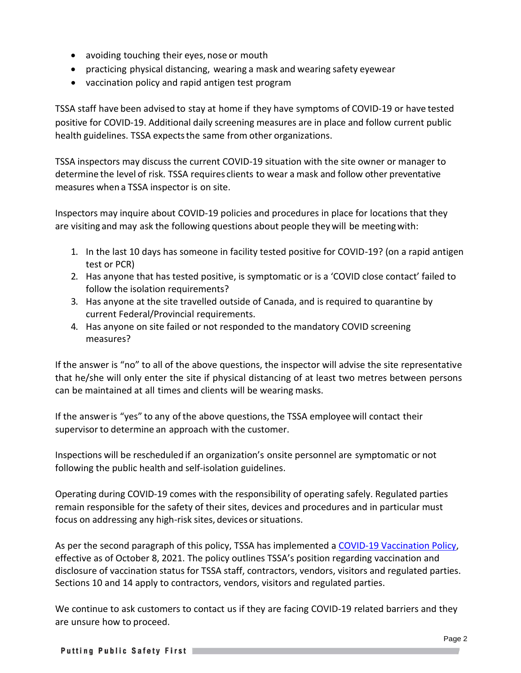- avoiding touching their eyes, nose or mouth
- practicing physical distancing, wearing a mask and wearing safety eyewear
- vaccination policy and rapid antigen test program

TSSA staff have been advised to stay at home if they have symptoms of COVID-19 or have tested positive for COVID-19. Additional daily screening measures are in place and follow current public health guidelines. TSSA expectsthe same from other organizations.

TSSA inspectors may discuss the current COVID-19 situation with the site owner or manager to determine the level of risk. TSSA requires clients to wear a mask and follow other preventative measures when a TSSA inspector is on site.

Inspectors may inquire about COVID-19 policies and procedures in place for locations that they are visiting and may ask the following questions about people theywill be meetingwith:

- 1. In the last 10 days has someone in facility tested positive for COVID-19? (on a rapid antigen test or PCR)
- 2. Has anyone that has tested positive, is symptomatic or is a 'COVID close contact' failed to follow the isolation requirements?
- 3. Has anyone at the site travelled outside of Canada, and is required to quarantine by current Federal/Provincial requirements.
- 4. Has anyone on site failed or not responded to the mandatory COVID screening measures?

If the answer is "no" to all of the above questions, the inspector will advise the site representative that he/she will only enter the site if physical distancing of at least two metres between persons can be maintained at all times and clients will be wearing masks.

If the answer is "yes" to any of the above questions, the TSSA employee will contact their supervisor to determine an approach with the customer.

Inspections will be rescheduled if an organization's onsite personnel are symptomatic or not following the public health and self-isolation guidelines.

Operating during COVID-19 comes with the responsibility of operating safely. Regulated parties remain responsible for the safety of their sites, devices and procedures and in particular must focus on addressing any high-risk sites, devices or situations.

As per the second paragraph of this policy, TSSA has implemented a [COVID-19 Vaccination Policy,](https://www.tssa.org/en/about-tssa/resources/TSSA-Vaccination-Policy---October-2021-v2.0.pdf) effective as of October 8, 2021. The policy outlines TSSA's position regarding vaccination and disclosure of vaccination status for TSSA staff, contractors, vendors, visitors and regulated parties. Sections 10 and 14 apply to contractors, vendors, visitors and regulated parties.

We continue to ask customers to contact us if they are facing COVID-19 related barriers and they are unsure how to proceed.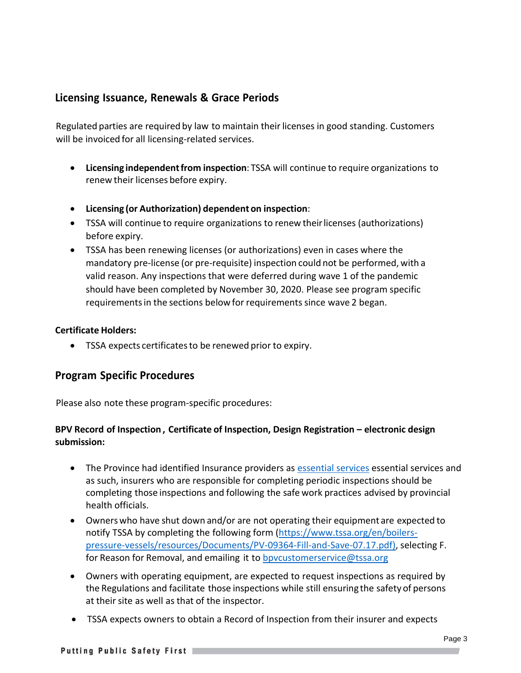## **Licensing Issuance, Renewals & Grace Periods**

Regulated parties are required by law to maintain their licenses in good standing. Customers will be invoiced for all licensing-related services.

- **Licensing independentfrom inspection**: TSSA will continue to require organizations to renew their licenses before expiry.
- **Licensing (or Authorization) dependent on inspection**:
- TSSA will continue to require organizations to renew theirlicenses (authorizations) before expiry.
- TSSA has been renewing licenses (or authorizations) even in cases where the mandatory pre-license (or pre-requisite) inspection could not be performed, with a valid reason. Any inspections that were deferred during wave 1 of the pandemic should have been completed by November 30, 2020. Please see program specific requirementsin the sections below for requirementssince wave 2 began.

### **Certificate Holders:**

• TSSA expects certificatesto be renewed prior to expiry.

## **Program Specific Procedures**

Please also note these program-specific procedures:

## **BPV Record of Inspection , Certificate of Inspection, Design Registration – electronic design submission:**

- The Province had identified Insurance providers as [essential services](https://www.ontario.ca/page/list-essential-workplaces) essential services and as such, insurers who are responsible for completing periodic inspections should be completing those inspections and following the safe work practices advised by provincial health officials.
- Ownerswho have shut down and/or are not operating their equipment are expected to notify TSSA by completing the following form [\(https://www.tssa.org/en/boilers](https://www.tssa.org/en/boilers-pressure-vessels/resources/Documents/PV-09364-Fill-and-Save-07.17.pdf))[pressure-vessels/resources/Documents/PV-09364-Fill-and-Save-07.17.pdf\),](https://www.tssa.org/en/boilers-pressure-vessels/resources/Documents/PV-09364-Fill-and-Save-07.17.pdf)) selecting F. for Reason for Removal, and emailing it to [bpvcustomerservice@tssa.org](mailto:bpvcustomerservice@tssa.org)
- Owners with operating equipment, are expected to request inspections as required by the Regulations and facilitate those inspections while still ensuring the safety of persons at their site as well as that of the inspector.
- TSSA expects owners to obtain a Record of Inspection from their insurer and expects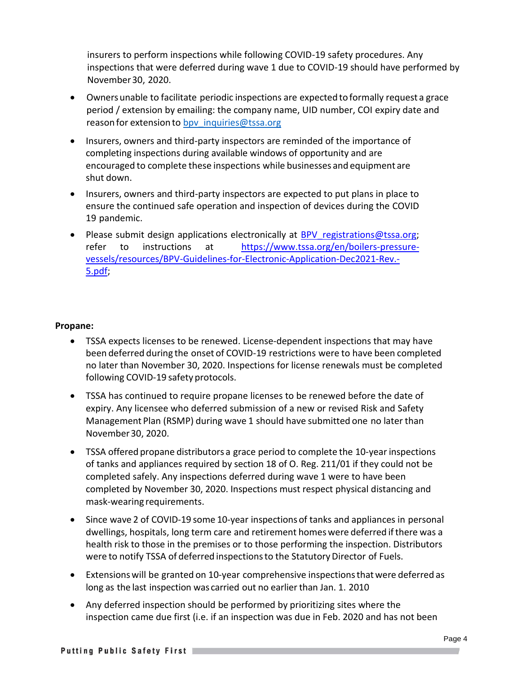insurers to perform inspections while following COVID-19 safety procedures. Any inspections that were deferred during wave 1 due to COVID-19 should have performed by November30, 2020.

- Ownersunable to facilitate periodic inspections are expected to formally request a grace period / extension by emailing: the company name, UID number, COI expiry date and reason for extension to bpv inquiries@tssa.org
- Insurers, owners and third-party inspectors are reminded of the importance of completing inspections during available windows of opportunity and are encouraged to complete these inspections while businesses and equipment are shut down.
- Insurers, owners and third-party inspectors are expected to put plans in place to ensure the continued safe operation and inspection of devices during the COVID 19 pandemic.
- Please submit design applications electronically at BPV registrations@tssa.org; refer to instructions at [https://www.tssa.org/en/boilers-pressure](https://www.tssa.org/en/boilers-pressure-vessels/resources/BPV-Guidelines-for-Electronic-Application-Dec2021-Rev.-5.pdf)[vessels/resources/BPV-Guidelines-for-Electronic-Application-Dec2021-Rev.-](https://www.tssa.org/en/boilers-pressure-vessels/resources/BPV-Guidelines-for-Electronic-Application-Dec2021-Rev.-5.pdf) [5.pdf;](https://www.tssa.org/en/boilers-pressure-vessels/resources/BPV-Guidelines-for-Electronic-Application-Dec2021-Rev.-5.pdf)

#### **Propane:**

- TSSA expects licenses to be renewed. License-dependent inspections that may have been deferred during the onset of COVID-19 restrictions were to have been completed no later than November 30, 2020. Inspections for license renewals must be completed following COVID-19 safety protocols.
- TSSA has continued to require propane licenses to be renewed before the date of expiry. Any licensee who deferred submission of a new or revised Risk and Safety Management Plan (RSMP) during wave 1 should have submitted one no later than November30, 2020.
- TSSA offered propane distributors a grace period to complete the 10-year inspections of tanks and appliances required by section 18 of O. Reg. 211/01 if they could not be completed safely. Any inspections deferred during wave 1 were to have been completed by November 30, 2020. Inspections must respect physical distancing and mask-wearing requirements.
- Since wave 2 of COVID-19 some 10-year inspections of tanks and appliances in personal dwellings, hospitals, long term care and retirement homes were deferred if there was a health risk to those in the premises or to those performing the inspection. Distributors were to notify TSSA of deferred inspections to the Statutory Director of Fuels.
- Extensionswill be granted on 10-year comprehensive inspectionsthatwere deferred as long as the last inspection was carried out no earlier than Jan. 1. 2010
- Any deferred inspection should be performed by prioritizing sites where the inspection came due first (i.e. if an inspection was due in Feb. 2020 and has not been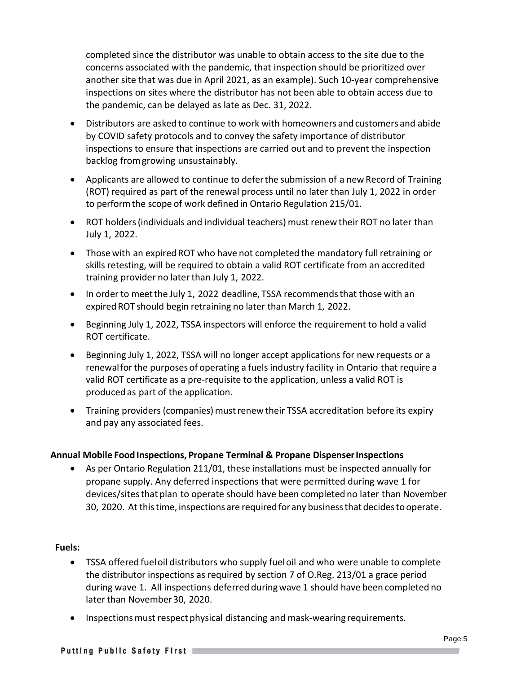completed since the distributor was unable to obtain access to the site due to the concerns associated with the pandemic, that inspection should be prioritized over another site that was due in April 2021, as an example). Such 10-year comprehensive inspections on sites where the distributor has not been able to obtain access due to the pandemic, can be delayed as late as Dec. 31, 2022.

- Distributors are asked to continue to work with homeowners and customers and abide by COVID safety protocols and to convey the safety importance of distributor inspections to ensure that inspections are carried out and to prevent the inspection backlog fromgrowing unsustainably.
- Applicants are allowed to continue to deferthe submission of a new Record of Training (ROT) required as part of the renewal process until no later than July 1, 2022 in order to performthe scope of work defined in Ontario Regulation 215/01.
- ROT holders(individuals and individual teachers) must renew their ROT no later than July 1, 2022.
- Those with an expired ROT who have not completed the mandatory full retraining or skills retesting, will be required to obtain a valid ROT certificate from an accredited training provider no later than July 1, 2022.
- In order to meetthe July 1, 2022 deadline, TSSA recommendsthat those with an expired ROT should begin retraining no later than March 1, 2022.
- Beginning July 1, 2022, TSSA inspectors will enforce the requirement to hold a valid ROT certificate.
- Beginning July 1, 2022, TSSA will no longer accept applications for new requests or a renewalfor the purposes of operating a fuels industry facility in Ontario that require a valid ROT certificate as a pre-requisite to the application, unless a valid ROT is produced as part of the application.
- Training providers (companies) mustrenew their TSSA accreditation before its expiry and pay any associated fees.

## **Annual Mobile FoodInspections, Propane Terminal & Propane DispenserInspections**

• As per Ontario Regulation 211/01, these installations must be inspected annually for propane supply. Any deferred inspections that were permitted during wave 1 for devices/sites that plan to operate should have been completed no later than November 30, 2020. At thistime, inspections are required forany businessthat decidesto operate.

### **Fuels:**

- TSSA offered fueloil distributors who supply fueloil and who were unable to complete the distributor inspections as required by section 7 of O.Reg. 213/01 a grace period during wave 1. All inspections deferred duringwave 1 should have been completed no later than November30, 2020.
- Inspections must respect physical distancing and mask-wearing requirements.